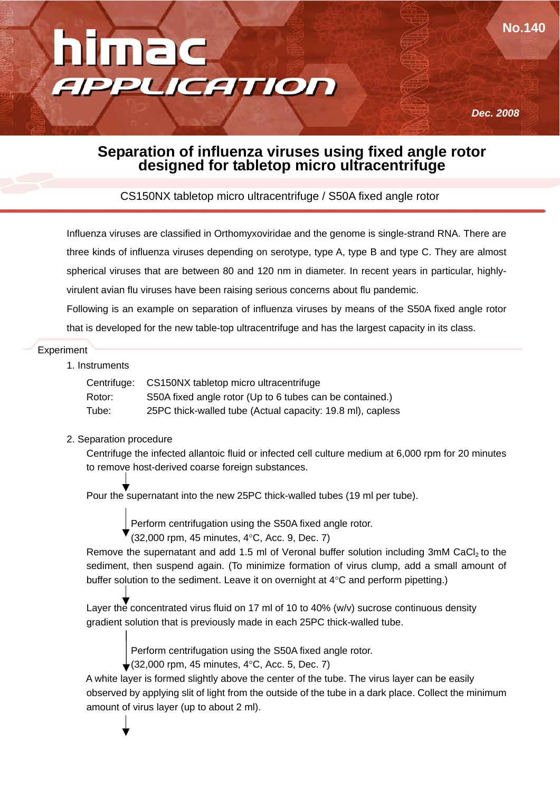

*Dec. 2008*

**No.140**

## **Separation of influenza viruses using fixed angle rotor designed for tabletop micro ultracentrifuge**

CS150NX tabletop micro ultracentrifuge / S50A fixed angle rotor

Influenza viruses are classified in Orthomyxoviridae and the genome is single-strand RNA. There are three kinds of influenza viruses depending on serotype, type A, type B and type C. They are almost spherical viruses that are between 80 and 120 nm in diameter. In recent years in particular, highlyvirulent avian flu viruses have been raising serious concerns about flu pandemic.

Following is an example on separation of influenza viruses by means of the S50A fixed angle rotor that is developed for the new table-top ultracentrifuge and has the largest capacity in its class.

#### **Experiment**

#### 1. Instruments

| Centrifuge: | CS150NX tabletop micro ultracentrifuge                     |
|-------------|------------------------------------------------------------|
| Rotor:      | S50A fixed angle rotor (Up to 6 tubes can be contained.)   |
| Tube:       | 25PC thick-walled tube (Actual capacity: 19.8 ml), capless |

### 2. Separation procedure

 Centrifuge the infected allantoic fluid or infected cell culture medium at 6,000 rpm for 20 minutes to remove host-derived coarse foreign substances.

Pour the supernatant into the new 25PC thick-walled tubes (19 ml per tube).

Perform centrifugation using the S50A fixed angle rotor.

(32,000 rpm, 45 minutes, 4°C, Acc. 9, Dec. 7)

Remove the supernatant and add 1.5 ml of Veronal buffer solution including 3mM CaCl<sub>2</sub> to the sediment, then suspend again. (To minimize formation of virus clump, add a small amount of buffer solution to the sediment. Leave it on overnight at 4°C and perform pipetting.)

Layer the concentrated virus fluid on 17 ml of 10 to 40% (w/v) sucrose continuous density gradient solution that is previously made in each 25PC thick-walled tube.

Perform centrifugation using the S50A fixed angle rotor.

 $\bullet$  (32,000 rpm, 45 minutes, 4°C, Acc. 5, Dec. 7)

 A white layer is formed slightly above the center of the tube. The virus layer can be easily observed by applying slit of light from the outside of the tube in a dark place. Collect the minimum amount of virus layer (up to about 2 ml).